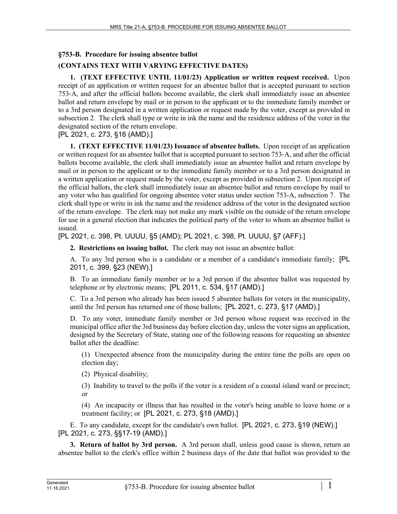## **§753-B. Procedure for issuing absentee ballot**

# **(CONTAINS TEXT WITH VARYING EFFECTIVE DATES)**

**1. (TEXT EFFECTIVE UNTIL 11/01/23) Application or written request received.** Upon receipt of an application or written request for an absentee ballot that is accepted pursuant to section 753‑A, and after the official ballots become available, the clerk shall immediately issue an absentee ballot and return envelope by mail or in person to the applicant or to the immediate family member or to a 3rd person designated in a written application or request made by the voter, except as provided in subsection 2. The clerk shall type or write in ink the name and the residence address of the voter in the designated section of the return envelope.

#### [PL 2021, c. 273, §16 (AMD).]

**1. (TEXT EFFECTIVE 11/01/23) Issuance of absentee ballots.** Upon receipt of an application or written request for an absentee ballot that is accepted pursuant to section 753‑A, and after the official ballots become available, the clerk shall immediately issue an absentee ballot and return envelope by mail or in person to the applicant or to the immediate family member or to a 3rd person designated in a written application or request made by the voter, except as provided in subsection 2. Upon receipt of the official ballots, the clerk shall immediately issue an absentee ballot and return envelope by mail to any voter who has qualified for ongoing absentee voter status under section 753-A, subsection 7. The clerk shall type or write in ink the name and the residence address of the voter in the designated section of the return envelope. The clerk may not make any mark visible on the outside of the return envelope for use in a general election that indicates the political party of the voter to whom an absentee ballot is issued.

#### [PL 2021, c. 398, Pt. UUUU, §5 (AMD); PL 2021, c. 398, Pt. UUUU, §7 (AFF).]

**2. Restrictions on issuing ballot.** The clerk may not issue an absentee ballot:

A. To any 3rd person who is a candidate or a member of a candidate's immediate family; [PL 2011, c. 399, §23 (NEW).]

B. To an immediate family member or to a 3rd person if the absentee ballot was requested by telephone or by electronic means; [PL 2011, c. 534, §17 (AMD).]

C. To a 3rd person who already has been issued 5 absentee ballots for voters in the municipality, until the 3rd person has returned one of those ballots; [PL 2021, c. 273, §17 (AMD).]

D. To any voter, immediate family member or 3rd person whose request was received in the municipal office after the 3rd business day before election day, unless the voter signs an application, designed by the Secretary of State, stating one of the following reasons for requesting an absentee ballot after the deadline:

(1) Unexpected absence from the municipality during the entire time the polls are open on election day;

(2) Physical disability;

(3) Inability to travel to the polls if the voter is a resident of a coastal island ward or precinct; or

(4) An incapacity or illness that has resulted in the voter's being unable to leave home or a treatment facility; or [PL 2021, c. 273, §18 (AMD).]

E. To any candidate, except for the candidate's own ballot. [PL 2021, c. 273, §19 (NEW).] [PL 2021, c. 273, §§17-19 (AMD).]

**3. Return of ballot by 3rd person.** A 3rd person shall, unless good cause is shown, return an absentee ballot to the clerk's office within 2 business days of the date that ballot was provided to the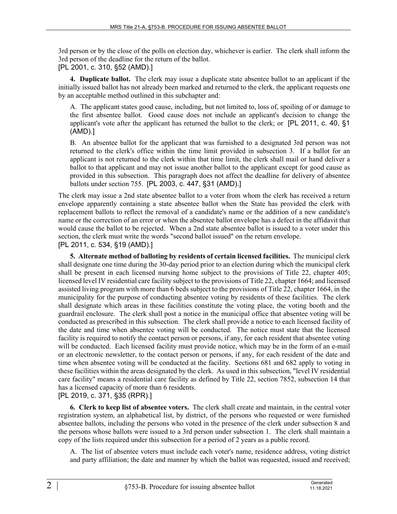3rd person or by the close of the polls on election day, whichever is earlier. The clerk shall inform the 3rd person of the deadline for the return of the ballot. [PL 2001, c. 310, §52 (AMD).]

**4. Duplicate ballot.** The clerk may issue a duplicate state absentee ballot to an applicant if the initially issued ballot has not already been marked and returned to the clerk, the applicant requests one by an acceptable method outlined in this subchapter and:

A. The applicant states good cause, including, but not limited to, loss of, spoiling of or damage to the first absentee ballot. Good cause does not include an applicant's decision to change the applicant's vote after the applicant has returned the ballot to the clerk; or [PL 2011, c. 40, §1 (AMD).]

B. An absentee ballot for the applicant that was furnished to a designated 3rd person was not returned to the clerk's office within the time limit provided in subsection 3. If a ballot for an applicant is not returned to the clerk within that time limit, the clerk shall mail or hand deliver a ballot to that applicant and may not issue another ballot to the applicant except for good cause as provided in this subsection. This paragraph does not affect the deadline for delivery of absentee ballots under section 755. [PL 2003, c. 447, §31 (AMD).]

The clerk may issue a 2nd state absentee ballot to a voter from whom the clerk has received a return envelope apparently containing a state absentee ballot when the State has provided the clerk with replacement ballots to reflect the removal of a candidate's name or the addition of a new candidate's name or the correction of an error or when the absentee ballot envelope has a defect in the affidavit that would cause the ballot to be rejected. When a 2nd state absentee ballot is issued to a voter under this section, the clerk must write the words "second ballot issued" on the return envelope. [PL 2011, c. 534, §19 (AMD).]

**5. Alternate method of balloting by residents of certain licensed facilities.** The municipal clerk shall designate one time during the 30-day period prior to an election during which the municipal clerk shall be present in each licensed nursing home subject to the provisions of Title 22, chapter 405; licensed level IV residential care facility subject to the provisions of Title 22, chapter 1664; and licensed assisted living program with more than 6 beds subject to the provisions of Title 22, chapter 1664, in the municipality for the purpose of conducting absentee voting by residents of these facilities. The clerk shall designate which areas in these facilities constitute the voting place, the voting booth and the guardrail enclosure. The clerk shall post a notice in the municipal office that absentee voting will be conducted as prescribed in this subsection. The clerk shall provide a notice to each licensed facility of the date and time when absentee voting will be conducted. The notice must state that the licensed facility is required to notify the contact person or persons, if any, for each resident that absentee voting will be conducted. Each licensed facility must provide notice, which may be in the form of an e-mail or an electronic newsletter, to the contact person or persons, if any, for each resident of the date and time when absentee voting will be conducted at the facility. Sections 681 and 682 apply to voting in these facilities within the areas designated by the clerk. As used in this subsection, "level IV residential care facility" means a residential care facility as defined by Title 22, section 7852, subsection 14 that has a licensed capacity of more than 6 residents.

## [PL 2019, c. 371, §35 (RPR).]

**6. Clerk to keep list of absentee voters.** The clerk shall create and maintain, in the central voter registration system, an alphabetical list, by district, of the persons who requested or were furnished absentee ballots, including the persons who voted in the presence of the clerk under subsection 8 and the persons whose ballots were issued to a 3rd person under subsection 1. The clerk shall maintain a copy of the lists required under this subsection for a period of 2 years as a public record.

A. The list of absentee voters must include each voter's name, residence address, voting district and party affiliation; the date and manner by which the ballot was requested, issued and received;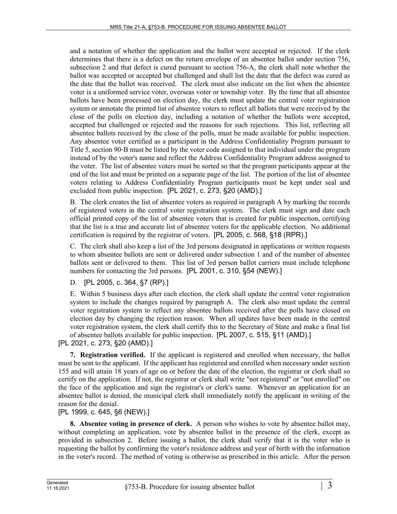and a notation of whether the application and the ballot were accepted or rejected. If the clerk determines that there is a defect on the return envelope of an absentee ballot under section 756, subsection 2 and that defect is cured pursuant to section 756-A, the clerk shall note whether the ballot was accepted or accepted but challenged and shall list the date that the defect was cured as the date that the ballot was received. The clerk must also indicate on the list when the absentee voter is a uniformed service voter, overseas voter or township voter. By the time that all absentee ballots have been processed on election day, the clerk must update the central voter registration system or annotate the printed list of absentee voters to reflect all ballots that were received by the close of the polls on election day, including a notation of whether the ballots were accepted, accepted but challenged or rejected and the reasons for such rejections. This list, reflecting all absentee ballots received by the close of the polls, must be made available for public inspection. Any absentee voter certified as a participant in the Address Confidentiality Program pursuant to Title 5, section 90‑B must be listed by the voter code assigned to that individual under the program instead of by the voter's name and reflect the Address Confidentiality Program address assigned to the voter. The list of absentee voters must be sorted so that the program participants appear at the end of the list and must be printed on a separate page of the list. The portion of the list of absentee voters relating to Address Confidentiality Program participants must be kept under seal and excluded from public inspection. [PL 2021, c. 273, §20 (AMD).]

B. The clerk creates the list of absentee voters as required in paragraph A by marking the records of registered voters in the central voter registration system. The clerk must sign and date each official printed copy of the list of absentee voters that is created for public inspection, certifying that the list is a true and accurate list of absentee voters for the applicable election. No additional certification is required by the registrar of voters. [PL 2005, c. 568, §18 (RPR).]

C. The clerk shall also keep a list of the 3rd persons designated in applications or written requests to whom absentee ballots are sent or delivered under subsection 1 and of the number of absentee ballots sent or delivered to them. This list of 3rd person ballot carriers must include telephone numbers for contacting the 3rd persons. [PL 2001, c. 310, §54 (NEW).]

D. [PL 2005, c. 364, §7 (RP).]

E. Within 5 business days after each election, the clerk shall update the central voter registration system to include the changes required by paragraph A. The clerk also must update the central voter registration system to reflect any absentee ballots received after the polls have closed on election day by changing the rejection reason. When all updates have been made in the central voter registration system, the clerk shall certify this to the Secretary of State and make a final list of absentee ballots available for public inspection. [PL 2007, c. 515, §11 (AMD).]

[PL 2021, c. 273, §20 (AMD).]

**7. Registration verified.** If the applicant is registered and enrolled when necessary, the ballot must be sent to the applicant. If the applicant has registered and enrolled when necessary under section 155 and will attain 18 years of age on or before the date of the election, the registrar or clerk shall so certify on the application. If not, the registrar or clerk shall write "not registered" or "not enrolled" on the face of the application and sign the registrar's or clerk's name. Whenever an application for an absentee ballot is denied, the municipal clerk shall immediately notify the applicant in writing of the reason for the denial.

[PL 1999, c. 645, §6 (NEW).]

**8. Absentee voting in presence of clerk.** A person who wishes to vote by absentee ballot may, without completing an application, vote by absentee ballot in the presence of the clerk, except as provided in subsection 2. Before issuing a ballot, the clerk shall verify that it is the voter who is requesting the ballot by confirming the voter's residence address and year of birth with the information in the voter's record. The method of voting is otherwise as prescribed in this article. After the person